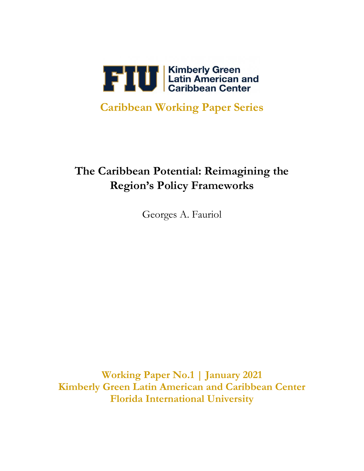

## **Caribbean Working Paper Series**

# **The Caribbean Potential: Reimagining the Region's Policy Frameworks**

Georges A. Fauriol

**Working Paper No.1 | January 2021 Kimberly Green Latin American and Caribbean Center Florida International University**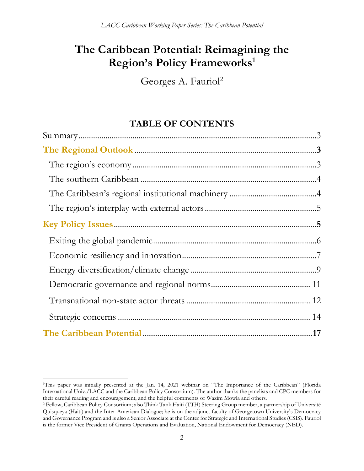## **The Caribbean Potential: Reimagining the Region's Policy Frameworks<sup>1</sup>**

Georges A. Fauriol<sup>2</sup>

## **TABLE OF CONTENTS**

<sup>1</sup>This paper was initially presented at the Jan. 14, 2021 webinar on "The Importance of the Caribbean" (Florida International Univ./LACC and the Caribbean Policy Consortium). The author thanks the panelists and CPC members for their careful reading and encouragement, and the helpful comments of Wazim Mowla and others.

<sup>2</sup> Fellow, Caribbean Policy Consortium; also Think Tank Haiti (TTH) Steering Group member, a partnership of Université Quisqueya (Haiti) and the Inter-American Dialogue; he is on the adjunct faculty of Georgetown University's Democracy and Governance Program and is also a Senior Associate at the Center for Strategic and International Studies (CSIS). Fauriol is the former Vice President of Grants Operations and Evaluation, National Endowment for Democracy (NED).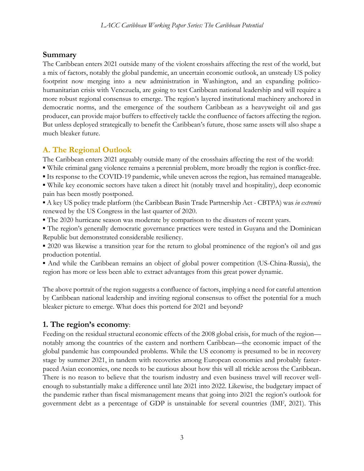### **Summary**

The Caribbean enters 2021 outside many of the violent crosshairs affecting the rest of the world, but a mix of factors, notably the global pandemic, an uncertain economic outlook, an unsteady US policy footprint now merging into a new administration in Washington, and an expanding politicohumanitarian crisis with Venezuela, are going to test Caribbean national leadership and will require a more robust regional consensus to emerge. The region's layered institutional machinery anchored in democratic norms, and the emergence of the southern Caribbean as a heavyweight oil and gas producer, can provide major buffers to effectively tackle the confluence of factors affecting the region. But unless deployed strategically to benefit the Caribbean's future, those same assets will also shape a much bleaker future.

## **A. The Regional Outlook**

The Caribbean enters 2021 arguably outside many of the crosshairs affecting the rest of the world:

- While criminal gang violence remains a perennial problem, more broadly the region is conflict-free.
- Its response to the COVID-19 pandemic, while uneven across the region, has remained manageable.
- While key economic sectors have taken a direct hit (notably travel and hospitality), deep economic pain has been mostly postponed.
- A key US policy trade platform (the Caribbean Basin Trade Partnership Act CBTPA) was *in extremis* renewed by the US Congress in the last quarter of 2020.
- The 2020 hurricane season was moderate by comparison to the disasters of recent years.
- The region's generally democratic governance practices were tested in Guyana and the Dominican Republic but demonstrated considerable resiliency.

▪ 2020 was likewise a transition year for the return to global prominence of the region's oil and gas production potential.

▪ And while the Caribbean remains an object of global power competition (US-China-Russia), the region has more or less been able to extract advantages from this great power dynamic.

The above portrait of the region suggests a confluence of factors, implying a need for careful attention by Caribbean national leadership and inviting regional consensus to offset the potential for a much bleaker picture to emerge. What does this portend for 2021 and beyond?

### **1. The region's economy**:

Feeding on the residual structural economic effects of the 2008 global crisis, for much of the region notably among the countries of the eastern and northern Caribbean—the economic impact of the global pandemic has compounded problems. While the US economy is presumed to be in recovery stage by summer 2021, in tandem with recoveries among European economies and probably fasterpaced Asian economies, one needs to be cautious about how this will all trickle across the Caribbean. There is no reason to believe that the tourism industry and even business travel will recover wellenough to substantially make a difference until late 2021 into 2022. Likewise, the budgetary impact of the pandemic rather than fiscal mismanagement means that going into 2021 the region's outlook for government debt as a percentage of GDP is unstainable for several countries (IMF, 2021). This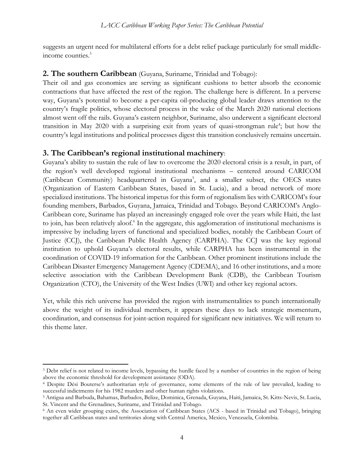suggests an urgent need for multilateral efforts for a debt relief package particularly for small middleincome counties.<sup>3</sup>

#### **2. The southern Caribbean** (Guyana, Suriname, Trinidad and Tobago):

Their oil and gas economies are serving as significant cushions to better absorb the economic contractions that have affected the rest of the region. The challenge here is different. In a perverse way, Guyana's potential to become a per-capita oil-producing global leader draws attention to the country's fragile politics, whose electoral process in the wake of the March 2020 national elections almost went off the rails. Guyana's eastern neighbor, Suriname, also underwent a significant electoral transition in May 2020 with a surprising exit from years of quasi-strongman rule<sup>4</sup>; but how the country's legal institutions and political processes digest this transition conclusively remains uncertain.

#### **3. The Caribbean's regional institutional machinery**:

Guyana's ability to sustain the rule of law to overcome the 2020 electoral crisis is a result, in part, of the region's well developed regional institutional mechanisms – centered around CARICOM (Caribbean Community) headquartered in Guyana<sup>5</sup>, and a smaller subset, the OECS states (Organization of Eastern Caribbean States, based in St. Lucia), and a broad network of more specialized institutions. The historical impetus for this form of regionalism lies with CARICOM's four founding members, Barbados, Guyana, Jamaica, Trinidad and Tobago. Beyond CARICOM's Anglo-Caribbean core, Suriname has played an increasingly engaged role over the years while Haiti, the last to join, has been relatively aloof.<sup>6</sup> In the aggregate, this agglomeration of institutional mechanisms is impressive by including layers of functional and specialized bodies, notably the Caribbean Court of Justice (CCJ), the Caribbean Public Health Agency (CARPHA). The CCJ was the key regional institution to uphold Guyana's electoral results, while CARPHA has been instrumental in the coordination of COVID-19 information for the Caribbean. Other prominent institutions include the Caribbean Disaster Emergency Management Agency (CDEMA), and 16 other institutions, and a more selective association with the Caribbean Development Bank (CDB), the Caribbean Tourism Organization (CTO), the University of the West Indies (UWI) and other key regional actors.

Yet, while this rich universe has provided the region with instrumentalities to punch internationally above the weight of its individual members, it appears these days to lack strategic momentum, coordination, and consensus for joint-action required for significant new initiatives. We will return to this theme later.

<sup>&</sup>lt;sup>3</sup> Debt relief is not related to income levels, bypassing the hurdle faced by a number of countries in the region of being above the economic threshold for development assistance (ODA).

<sup>4</sup> Despite Dési Bouterse's authoritarian style of governance, some elements of the rule of law prevailed, leading to successful indictments for his 1982 murders and other human rights violations.

<sup>5</sup> Antigua and Barbuda, Bahamas, Barbados, Belize, Dominica, Grenada, Guyana, Haiti, Jamaica, St. Kitts-Nevis, St. Lucia, St. Vincent and the Grenadines, Suriname, and Trinidad and Tobago.

<sup>&</sup>lt;sup>6</sup> An even wider grouping exists, the Association of Caribbean States (ACS - based in Trinidad and Tobago), bringing together all Caribbean states and territories along with Central America, Mexico, Venezuela, Colombia.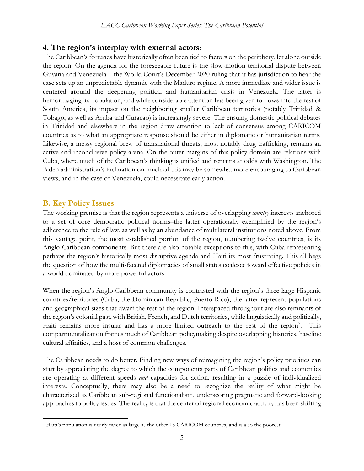### **4. The region's interplay with external actors**:

The Caribbean's fortunes have historically often been tied to factors on the periphery, let alone outside the region. On the agenda for the foreseeable future is the slow-motion territorial dispute between Guyana and Venezuela – the World Court's December 2020 ruling that it has jurisdiction to hear the case sets up an unpredictable dynamic with the Maduro regime. A more immediate and wider issue is centered around the deepening political and humanitarian crisis in Venezuela. The latter is hemorrhaging its population, and while considerable attention has been given to flows into the rest of South America, its impact on the neighboring smaller Caribbean territories (notably Trinidad & Tobago, as well as Aruba and Curacao) is increasingly severe. The ensuing domestic political debates in Trinidad and elsewhere in the region draw attention to lack of consensus among CARICOM countries as to what an appropriate response should be either in diplomatic or humanitarian terms. Likewise, a messy regional brew of transnational threats, most notably drug trafficking, remains an active and inconclusive policy arena. On the outer margins of this policy domain are relations with Cuba, where much of the Caribbean's thinking is unified and remains at odds with Washington. The Biden administration's inclination on much of this may be somewhat more encouraging to Caribbean views, and in the case of Venezuela, could necessitate early action.

#### **B. Key Policy Issues**

The working premise is that the region represents a universe of overlapping *country* interests anchored to a set of core democratic political norms–the latter operationally exemplified by the region's adherence to the rule of law, as well as by an abundance of multilateral institutions noted above. From this vantage point, the most established portion of the region, numbering twelve countries, is its Anglo-Caribbean components. But there are also notable exceptions to this, with Cuba representing perhaps the region's historically most disruptive agenda and Haiti its most frustrating. This all begs the question of how the multi-faceted diplomacies of small states coalesce toward effective policies in a world dominated by more powerful actors.

When the region's Anglo-Caribbean community is contrasted with the region's three large Hispanic countries/territories (Cuba, the Dominican Republic, Puerto Rico), the latter represent populations and geographical sizes that dwarf the rest of the region. Interspaced throughout are also remnants of the region's colonial past, with British, French, and Dutch territories, while linguistically and politically, Haiti remains more insular and has a more limited outreach to the rest of the region<sup>7</sup>. This compartmentalization frames much of Caribbean policymaking despite overlapping histories, baseline cultural affinities, and a host of common challenges.

The Caribbean needs to do better. Finding new ways of reimagining the region's policy priorities can start by appreciating the degree to which the components parts of Caribbean politics and economics are operating at different speeds *and* capacities for action, resulting in a puzzle of individualized interests. Conceptually, there may also be a need to recognize the reality of what might be characterized as Caribbean sub-regional functionalism, underscoring pragmatic and forward-looking approaches to policy issues. The reality is that the center of regional economic activity has been shifting

<sup>7</sup> Haiti's population is nearly twice as large as the other 13 CARICOM countries, and is also the poorest.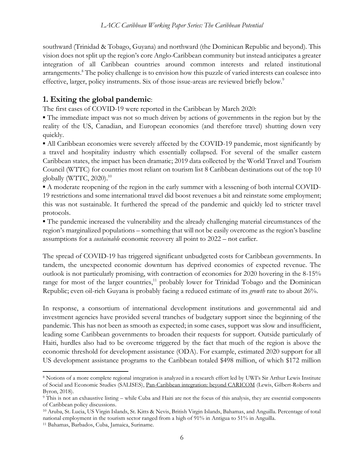southward (Trinidad & Tobago, Guyana) and northward (the Dominican Republic and beyond). This vision does not split up the region's core Anglo-Caribbean community but instead anticipates a greater integration of all Caribbean countries around common interests and related institutional arrangements. <sup>8</sup> The policy challenge is to envision how this puzzle of varied interests can coalesce into effective, larger, policy instruments. Six of those issue-areas are reviewed briefly below.<sup>9</sup>

### **1. Exiting the global pandemic**:

The first cases of COVID-19 were reported in the Caribbean by March 2020:

▪ The immediate impact was not so much driven by actions of governments in the region but by the reality of the US, Canadian, and European economies (and therefore travel) shutting down very quickly.

▪ All Caribbean economies were severely affected by the COVID-19 pandemic, most significantly by a travel and hospitality industry which essentially collapsed. For several of the smaller eastern Caribbean states, the impact has been dramatic; 2019 data collected by the World Travel and Tourism Council (WTTC) for countries most reliant on tourism list 8 Caribbean destinations out of the top 10 globally (WTTC, 2020). $^{10}$ 

▪ A moderate reopening of the region in the early summer with a lessening of both internal COVID-19 restrictions and some international travel did boost revenues a bit and reinstate some employment; this was not sustainable. It furthered the spread of the pandemic and quickly led to stricter travel protocols.

▪ The pandemic increased the vulnerability and the already challenging material circumstances of the region's marginalized populations – something that will not be easily overcome as the region's baseline assumptions for a *sustainable* economic recovery all point to 2022 – not earlier.

The spread of COVID-19 has triggered significant unbudgeted costs for Caribbean governments. In tandem, the unexpected economic downturn has deprived economies of expected revenue. The outlook is not particularly promising, with contraction of economies for 2020 hovering in the 8-15% range for most of the larger countries,<sup>11</sup> probably lower for Trinidad Tobago and the Dominican Republic; even oil-rich Guyana is probably facing a reduced estimate of its *growth* rate to about 26%.

In response, a consortium of international development institutions and governmental aid and investment agencies have provided several tranches of budgetary support since the beginning of the pandemic. This has not been as smooth as expected; in some cases, support was slow and insufficient, leading some Caribbean governments to broaden their requests for support. Outside particularly of Haiti, hurdles also had to be overcome triggered by the fact that much of the region is above the economic threshold for development assistance (ODA). For example, estimated 2020 support for all US development assistance programs to the Caribbean totaled \$498 million, of which \$172 million

<sup>8</sup> Notions of a more complete regional integration is analyzed in a research effort led by UWI's Sir Arthur Lewis Institute of Social and Economic Studies (SALISES), Pan-Caribbean integration: beyond CARICOM (Lewis, Gilbert-Roberts and Byron, 2018).

<sup>9</sup> This is not an exhaustive listing – while Cuba and Haiti are not the focus of this analysis, they are essential components of Caribbean policy discussions.

<sup>10</sup> Aruba, St. Lucia, US Virgin Islands, St. Kitts & Nevis, British Virgin Islands, Bahamas, and Anguilla. Percentage of total national employment in the tourism sector ranged from a high of 91% in Antigua to 51% in Anguilla.

<sup>11</sup> Bahamas, Barbados, Cuba, Jamaica, Suriname.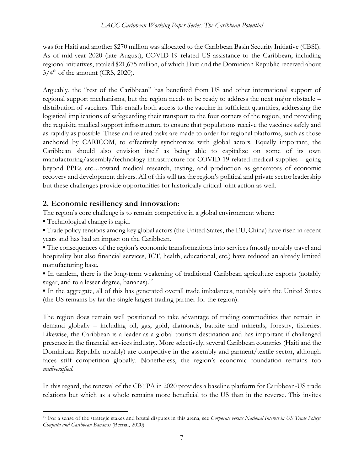was for Haiti and another \$270 million was allocated to the Caribbean Basin Security Initiative (CBSI). As of mid-year 2020 (late August), COVID-19 related US assistance to the Caribbean, including regional initiatives, totaled \$21,675 million, of which Haiti and the Dominican Republic received about  $3/4<sup>th</sup>$  of the amount (CRS, 2020).

Arguably, the "rest of the Caribbean" has benefited from US and other international support of regional support mechanisms, but the region needs to be ready to address the next major obstacle – distribution of vaccines. This entails both access to the vaccine in sufficient quantities, addressing the logistical implications of safeguarding their transport to the four corners of the region, and providing the requisite medical support infrastructure to ensure that populations receive the vaccines safely and as rapidly as possible. These and related tasks are made to order for regional platforms, such as those anchored by CARICOM, to effectively synchronize with global actors. Equally important, the Caribbean should also envision itself as being able to capitalize on some of its own manufacturing/assembly/technology infrastructure for COVID-19 related medical supplies – going beyond PPEs etc…toward medical research, testing, and production as generators of economic recovery and development drivers. All of this will tax the region's political and private sector leadership but these challenges provide opportunities for historically critical joint action as well.

#### **2. Economic resiliency and innovation**:

The region's core challenge is to remain competitive in a global environment where:

▪ Technological change is rapid.

▪ Trade policy tensions among key global actors (the United States, the EU, China) have risen in recent years and has had an impact on the Caribbean.

▪ The consequences of the region's economic transformations into services (mostly notably travel and hospitality but also financial services, ICT, health, educational, etc.) have reduced an already limited manufacturing base.

▪ In tandem, there is the long-term weakening of traditional Caribbean agriculture exports (notably sugar, and to a lesser degree, bananas).<sup>12</sup>

▪ In the aggregate, all of this has generated overall trade imbalances, notably with the United States (the US remains by far the single largest trading partner for the region).

The region does remain well positioned to take advantage of trading commodities that remain in demand globally – including oil, gas, gold, diamonds, bauxite and minerals, forestry, fisheries. Likewise, the Caribbean is a leader as a global tourism destination and has important if challenged presence in the financial services industry. More selectively, several Caribbean countries (Haiti and the Dominican Republic notably) are competitive in the assembly and garment/textile sector, although faces stiff competition globally. Nonetheless, the region's economic foundation remains too *undiversified*.

In this regard, the renewal of the CBTPA in 2020 provides a baseline platform for Caribbean-US trade relations but which as a whole remains more beneficial to the US than in the reverse. This invites

<sup>12</sup> For a sense of the strategic stakes and brutal disputes in this arena, see *Corporate versus National Interest in US Trade Policy: Chiquita and Caribbean Bananas* (Bernal, 2020).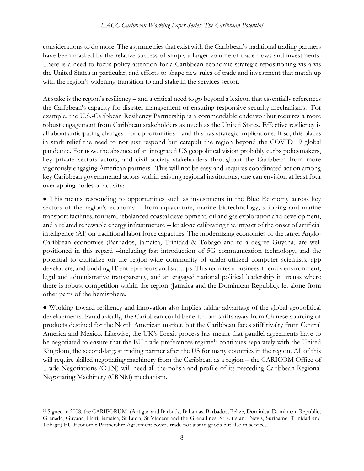considerations to do more. The asymmetries that exist with the Caribbean's traditional trading partners have been masked by the relative success of simply a larger volume of trade flows and investments. There is a need to focus policy attention for a Caribbean economic strategic repositioning vis-à-vis the United States in particular, and efforts to shape new rules of trade and investment that match up with the region's widening transition to and stake in the services sector.

At stake is the region's resiliency – and a critical need to go beyond a lexicon that essentially references the Caribbean's capacity for disaster management or ensuring responsive security mechanisms. For example, the U.S.-Caribbean Resiliency Partnership is a commendable endeavor but requires a more robust engagement from Caribbean stakeholders as much as the United States. Effective resiliency is all about anticipating changes – or opportunities – and this has strategic implications. If so, this places in stark relief the need to not just respond but catapult the region beyond the COVID-19 global pandemic. For now, the absence of an integrated US geopolitical vision probably curbs policymakers, key private sectors actors, and civil society stakeholders throughout the Caribbean from more vigorously engaging American partners. This will not be easy and requires coordinated action among key Caribbean governmental actors within existing regional institutions; one can envision at least four overlapping nodes of activity:

● This means responding to opportunities such as investments in the Blue Economy across key sectors of the region's economy – from aquaculture, marine biotechnology, shipping and marine transport facilities, tourism, rebalanced coastal development, oil and gas exploration and development, and a related renewable energy infrastructure -- let alone calibrating the impact of the onset of artificial intelligence (AI) on traditional labor force capacities. The modernizing economies of the larger Anglo-Caribbean economies (Barbados, Jamaica, Trinidad & Tobago and to a degree Guyana) are well positioned in this regard --including fast introduction of 5G communication technology, and the potential to capitalize on the region-wide community of under-utilized computer scientists, app developers, and budding IT entrepreneurs and startups. This requires a business-friendly environment, legal and administrative transparency, and an engaged national political leadership in arenas where there is robust competition within the region (Jamaica and the Dominican Republic), let alone from other parts of the hemisphere.

● Working toward resiliency and innovation also implies taking advantage of the global geopolitical developments. Paradoxically, the Caribbean could benefit from shifts away from Chinese sourcing of products destined for the North American market, but the Caribbean faces stiff rivalry from Central America and Mexico. Likewise, the UK's Brexit process has meant that parallel agreements have to be negotiated to ensure that the EU trade preferences regime<sup>13</sup> continues separately with the United Kingdom, the second-largest trading partner after the US for many countries in the region. All of this will require skilled negotiating machinery from the Caribbean as a region – the CARICOM Office of Trade Negotiations (OTN) will need all the polish and profile of its preceding Caribbean Regional Negotiating Machinery (CRNM) mechanism.

<sup>13</sup> Signed in 2008, the CARIFORUM- (Antigua and Barbuda, Bahamas, Barbados, Belize, Dominica, Dominican Republic, Grenada, Guyana, Haiti, Jamaica, St Lucia, St Vincent and the Grenadines, St Kitts and Nevis, Suriname, Trinidad and Tobago) EU Economic Partnership Agreement covers trade not just in goods but also in services.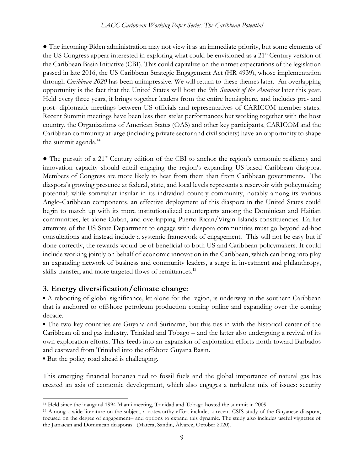#### *LACC Caribbean Working Paper Series: The Caribbean Potential*

● The incoming Biden administration may not view it as an immediate priority, but some elements of the US Congress appear interested in exploring what could be envisioned as a 21st Century version of the Caribbean Basin Initiative (CBI). This could capitalize on the unmet expectations of the legislation passed in late 2016, the US Caribbean Strategic Engagement Act (HR 4939), whose implementation through *Caribbean 2020* has been unimpressive. We will return to these themes later. An overlapping opportunity is the fact that the United States will host the 9th *Summit of the Americas* later this year. Held every three years, it brings together leaders from the entire hemisphere, and includes pre- and post- diplomatic meetings between US officials and representatives of CARICOM member states. Recent Summit meetings have been less then stelar performances but working together with the host country, the Organizations of American States (OAS) and other key participants, CARICOM and the Caribbean community at large (including private sector and civil society) have an opportunity to shape the summit agenda.<sup>14</sup>

• The pursuit of a 21<sup>st</sup> Century edition of the CBI to anchor the region's economic resiliency and innovation capacity should entail engaging the region's expanding US-based Caribbean diaspora. Members of Congress are more likely to hear from them than from Caribbean governments. The diaspora's growing presence at federal, state, and local levels represents a reservoir with policymaking potential; while somewhat insular in its individual country community, notably among its various Anglo-Caribbean components, an effective deployment of this diaspora in the United States could begin to match up with its more institutionalized counterparts among the Dominican and Haitian communities, let alone Cuban, and overlapping Puerto Rican/Virgin Islands constituencies. Earlier attempts of the US State Department to engage with diaspora communities must go beyond ad-hoc consultations and instead include a systemic framework of engagement. This will not be easy but if done correctly, the rewards would be of beneficial to both US and Caribbean policymakers. It could include working jointly on behalf of economic innovation in the Caribbean, which can bring into play an expanding network of business and community leaders, a surge in investment and philanthropy, skills transfer, and more targeted flows of remittances.<sup>15</sup>

#### **3. Energy diversification/climate change**:

▪ A rebooting of global significance, let alone for the region, is underway in the southern Caribbean that is anchored to offshore petroleum production coming online and expanding over the coming decade.

▪ The two key countries are Guyana and Suriname, but this ties in with the historical center of the Caribbean oil and gas industry, Trinidad and Tobago – and the latter also undergoing a revival of its own exploration efforts. This feeds into an expansion of exploration efforts north toward Barbados and eastward from Trinidad into the offshore Guyana Basin.

▪ But the policy road ahead is challenging.

This emerging financial bonanza tied to fossil fuels and the global importance of natural gas has created an axis of economic development, which also engages a turbulent mix of issues: security

<sup>14</sup> Held since the inaugural 1994 Miami meeting, Trinidad and Tobago hosted the summit in 2009.

<sup>15</sup> Among a wide literature on the subject, a noteworthy effort includes a recent CSIS study of the Guyanese diaspora, focused on the degree of engagement– and options to expand this dynamic. The study also includes useful vignettes of the Jamaican and Dominican diasporas. (Matera, Sandin, Alvarez, October 2020).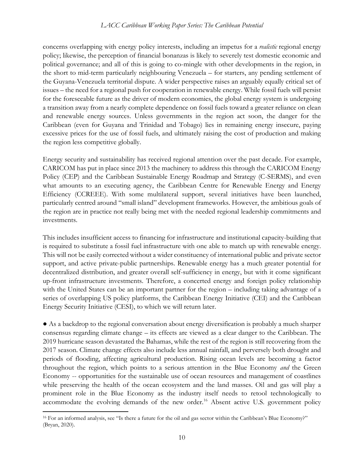concerns overlapping with energy policy interests, including an impetus for a *realistic* regional energy policy; likewise, the perception of financial bonanzas is likely to severely test domestic economic and political governance; and all of this is going to co-mingle with other developments in the region, in the short to mid-term particularly neighbouring Venezuela – for starters, any pending settlement of the Guyana-Venezuela territorial dispute. A wider perspective raises an arguably equally critical set of issues – the need for a regional push for cooperation in renewable energy. While fossil fuels will persist for the foreseeable future as the driver of modern economies, the global energy system is undergoing a transition away from a nearly complete dependence on fossil fuels toward a greater reliance on clean and renewable energy sources. Unless governments in the region act soon, the danger for the Caribbean (even for Guyana and Trinidad and Tobago) lies in remaining energy insecure, paying excessive prices for the use of fossil fuels, and ultimately raising the cost of production and making the region less competitive globally.

Energy security and sustainability has received regional attention over the past decade. For example, CARICOM has put in place since 2013 the machinery to address this through the CARICOM Energy Policy (CEP) and the Caribbean Sustainable Energy Roadmap and Strategy (C-SERMS), and even what amounts to an executing agency, the Caribbean Centre for Renewable Energy and Energy Efficiency (CCREEE). With some multilateral support, several initiatives have been launched, particularly centred around "small island" development frameworks. However, the ambitious goals of the region are in practice not really being met with the needed regional leadership commitments and investments.

This includes insufficient access to financing for infrastructure and institutional capacity-building that is required to substitute a fossil fuel infrastructure with one able to match up with renewable energy. This will not be easily corrected without a wider constituency of international public and private sector support, and active private-public partnerships. Renewable energy has a much greater potential for decentralized distribution, and greater overall self-sufficiency in energy, but with it come significant up-front infrastructure investments. Therefore, a concerted energy and foreign policy relationship with the United States can be an important partner for the region – including taking advantage of a series of overlapping US policy platforms, the Caribbean Energy Initiative (CEI) and the Caribbean Energy Security Initiative (CESI), to which we will return later.

● As a backdrop to the regional conversation about energy diversification is probably a much sharper consensus regarding climate change – its effects are viewed as a clear danger to the Caribbean. The 2019 hurricane season devastated the Bahamas, while the rest of the region is still recovering from the 2017 season. Climate change effects also include less annual rainfall, and perversely both drought and periods of flooding, affecting agricultural production. Rising ocean levels are becoming a factor throughout the region, which points to a serious attention in the Blue Economy *and* the Green Economy -- opportunities for the sustainable use of ocean resources and management of coastlines while preserving the health of the ocean ecosystem and the land masses. Oil and gas will play a prominent role in the Blue Economy as the industry itself needs to retool technologically to accommodate the evolving demands of the new order.<sup>16</sup> Absent active U.S. government policy

<sup>16</sup> For an informed analysis, see "Is there a future for the oil and gas sector within the Caribbean's Blue Economy?" (Bryan, 2020).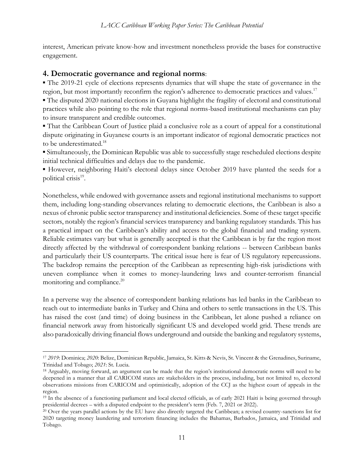interest, American private know-how and investment nonetheless provide the bases for constructive engagement.

#### **4. Democratic governance and regional norms**:

▪ The 2019-21 cycle of elections represents dynamics that will shape the state of governance in the region, but most importantly reconfirm the region's adherence to democratic practices and values.<sup>17</sup>

▪ The disputed 2020 national elections in Guyana highlight the fragility of electoral and constitutional practices while also pointing to the role that regional norms-based institutional mechanisms can play to insure transparent and credible outcomes.

▪ That the Caribbean Court of Justice plaid a conclusive role as a court of appeal for a constitutional dispute originating in Guyanese courts is an important indicator of regional democratic practices not to be underestimated.<sup>18</sup>

▪ Simultaneously, the Dominican Republic was able to successfully stage rescheduled elections despite initial technical difficulties and delays due to the pandemic.

▪ However, neighboring Haiti's electoral delays since October 2019 have planted the seeds for a political crisis<sup>19</sup>.

Nonetheless, while endowed with governance assets and regional institutional mechanisms to support them, including long-standing observances relating to democratic elections, the Caribbean is also a nexus of chronic public sector transparency and institutional deficiencies. Some of these target specific sectors, notably the region's financial services transparency and banking regulatory standards. This has a practical impact on the Caribbean's ability and access to the global financial and trading system. Reliable estimates vary but what is generally accepted is that the Caribbean is by far the region most directly affected by the withdrawal of correspondent banking relations -- between Caribbean banks and particularly their US counterparts. The critical issue here is fear of US regulatory repercussions. The backdrop remains the perception of the Caribbean as representing high-risk jurisdictions with uneven compliance when it comes to money-laundering laws and counter-terrorism financial monitoring and compliance.<sup>20</sup>

In a perverse way the absence of correspondent banking relations has led banks in the Caribbean to reach out to intermediate banks in Turkey and China and others to settle transactions in the US. This has raised the cost (and time) of doing business in the Caribbean, let alone pushed a reliance on financial network away from historically significant US and developed world grid. These trends are also paradoxically driving financial flows underground and outside the banking and regulatory systems,

<sup>17</sup> *2019*: Dominica; *2020*: Belize, Dominican Republic, Jamaica, St. Kitts & Nevis, St. Vincent & the Grenadines, Suriname, Trinidad and Tobago; *2021*: St. Lucia.

<sup>18</sup> Arguably, moving forward, an argument can be made that the region's institutional democratic norms will need to be deepened in a manner that all CARICOM states are stakeholders in the process, including, but not limited to, electoral observations missions from CARICOM and optimistically, adoption of the CCJ as the highest court of appeals in the region.

<sup>&</sup>lt;sup>19</sup> In the absence of a functioning parliament and local elected officials, as of early 2021 Haiti is being governed through presidential decrees – with a disputed endpoint to the president's term (Feb. 7, 2021 or 2022).

<sup>20</sup> Over the years parallel actions by the EU have also directly targeted the Caribbean; a revised country-sanctions list for 2020 targeting money laundering and terrorism financing includes the Bahamas, Barbados, Jamaica, and Trinidad and Tobago.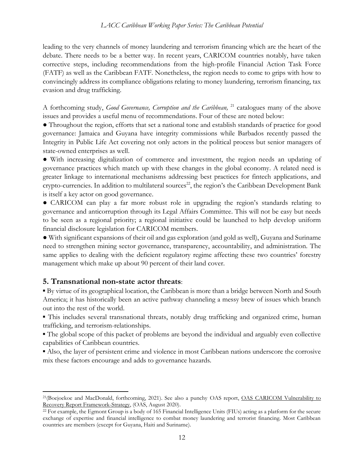leading to the very channels of money laundering and terrorism financing which are the heart of the debate. There needs to be a better way. In recent years, CARICOM countries notably, have taken corrective steps, including recommendations from the high-profile Financial Action Task Force (FATF) as well as the Caribbean FATF. Nonetheless, the region needs to come to grips with how to convincingly address its compliance obligations relating to money laundering, terrorism financing, tax evasion and drug trafficking.

A forthcoming study, *Good Governance, Corruption and the Caribbean*, <sup>21</sup> catalogues many of the above issues and provides a useful menu of recommendations. Four of these are noted below:

● Throughout the region, efforts that set a national tone and establish standards of practice for good governance: Jamaica and Guyana have integrity commissions while Barbados recently passed the Integrity in Public Life Act covering not only actors in the political process but senior managers of state-owned enterprises as well.

● With increasing digitalization of commerce and investment, the region needs an updating of governance practices which match up with these changes in the global economy. A related need is greater linkage to international mechanisms addressing best practices for fintech applications, and crypto-currencies. In addition to multilateral sources<sup>22</sup>, the region's the Caribbean Development Bank is itself a key actor on good governance.

● CARICOM can play a far more robust role in upgrading the region's standards relating to governance and anticorruption through its Legal Affairs Committee. This will not be easy but needs to be seen as a regional priority; a regional initiative could be launched to help develop uniform financial disclosure legislation for CARICOM members.

● With significant expansions of their oil and gas exploration (and gold as well), Guyana and Suriname need to strengthen mining sector governance, transparency, accountability, and administration. The same applies to dealing with the deficient regulatory regime affecting these two countries' forestry management which make up about 90 percent of their land cover.

#### **5. Transnational non-state actor threats**:

▪ By virtue of its geographical location, the Caribbean is more than a bridge between North and South America; it has historically been an active pathway channeling a messy brew of issues which branch out into the rest of the world.

▪ This includes several transnational threats, notably drug trafficking and organized crime, human trafficking, and terrorism-relationships.

▪ The global scope of this packet of problems are beyond the individual and arguably even collective capabilities of Caribbean countries.

▪ Also, the layer of persistent crime and violence in most Caribbean nations underscore the corrosive mix these factors encourage and adds to governance hazards.

<sup>&</sup>lt;sup>21</sup>(Boejoekoe and MacDonald, forthcoming, 2021). See also a punchy OAS report, OAS CARICOM Vulnerability to Recovery Report Framework-Strategy, (OAS, August 2020).

<sup>22</sup> For example, the Egmont Group is a body of 165 Financial Intelligence Units (FIUs) acting as a platform for the secure exchange of expertise and financial intelligence to combat money laundering and terrorist financing. Most Caribbean countries are members (except for Guyana, Haiti and Suriname).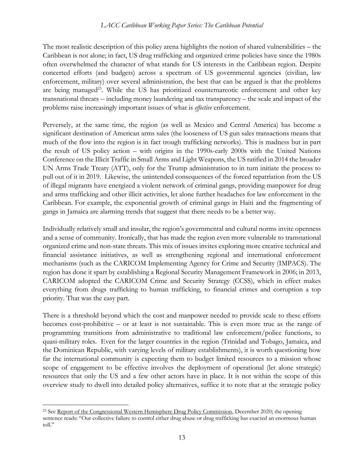The most realistic description of this policy arena highlights the notion of shared vulnerabilities – the Caribbean is not alone; in fact, US drug trafficking and organized crime policies have since the 1980s often overwhelmed the character of what stands for US interests in the Caribbean region. Despite concerted efforts (and budgets) across a spectrum of US governmental agencies (civilian, law enforcement, military) over several administration, the best that can be argued is that the problems are being managed<sup>23</sup>. While the US has prioritized counternarcotic enforcement and other key transnational threats -- including money laundering and tax transparency – the scale and impact of the problems raise increasingly important issues of what is *effective* enforcement.

Perversely, at the same time, the region (as well as Mexico and Central America) has become a significant destination of American arms sales (the looseness of US gun sales transactions means that much of the flow into the region is in fact trough trafficking networks). This is madness but in part the result of US policy action – with origins in the 1990s-early 2000s with the United Nations Conference on the Illicit Traffic in Small Arms and Light Weapons, the US ratified in 2014 the broader UN Arms Trade Treaty (ATT), only for the Trump administration to in turn initiate the process to pull out of it in 2019. Likewise, the unintended consequences of the forced repatriation from the US of illegal migrants have energized a violent network of criminal gangs, providing manpower for drug and arms trafficking and other illicit activities, let alone further headaches for law enforcement in the Caribbean. For example, the exponential growth of criminal gangs in Haiti and the fragmenting of gangs in Jamaica are alarming trends that suggest that there needs to be a better way.

Individually relatively small and insular, the region's governmental and cultural norms invite openness and a sense of community. Ironically, that has made the region even more vulnerable to transnational organized crime and non-state threats. This mix of issues invites exploring more creative technical and financial assistance initiatives, as well as strengthening regional and international enforcement mechanisms (such as the CARICOM Implementing Agency for Crime and Security (IMPACS). The region has done it spart by establishing a Regional Security Management Framework in 2006; in 2013, CARICOM adopted the CARICOM Crime and Security Strategy (CCSS), which in effect makes everything from drugs trafficking to human trafficking, to financial crimes and corruption a top priority. That was the easy part.

There is a threshold beyond which the cost and manpower needed to provide scale to these efforts becomes cost-prohibitive – or at least is not sustainable. This is even more true as the range of programming transitions from administrative to traditional law enforcement/police functions, to quasi-military roles. Even for the larger countries in the region (Trinidad and Tobago, Jamaica, and the Dominican Republic, with varying levels of military establishments), it is worth questioning how far the international community is expecting them to budget limited resources to a mission whose scope of engagement to be effective involves the deployment of operational (let alone strategic) resources that only the US and a few other actors have in place. It is not within the scope of this overview study to dwell into detailed policy alternatives, suffice it to note that at the strategic policy

<sup>&</sup>lt;sup>23</sup> See <u>Report of the Congressional Western Hemisphere Drug Policy Commission</u>, December 2020; the opening sentence reads: "Our collective failure to control either drug abuse or drug trafficking has exacted an enormous human toll."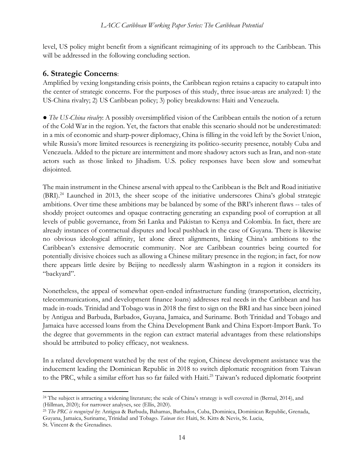level, US policy might benefit from a significant reimagining of its approach to the Caribbean. This will be addressed in the following concluding section.

#### **6. Strategic Concerns**:

Amplified by vexing longstanding crisis points, the Caribbean region retains a capacity to catapult into the center of strategic concerns. For the purposes of this study, three issue-areas are analyzed: 1) the US-China rivalry; 2) US Caribbean policy; 3) policy breakdowns: Haiti and Venezuela.

● *The US-China rivalry*: A possibly oversimplified vision of the Caribbean entails the notion of a return of the Cold War in the region. Yet, the factors that enable this scenario should not be underestimated: in a mix of economic and sharp-power diplomacy, China is filling in the void left by the Soviet Union, while Russia's more limited resources is reenergizing its politico-security presence, notably Cuba and Venezuela. Added to the picture are intermittent and more shadowy actors such as Iran, and non-state actors such as those linked to Jihadism. U.S. policy responses have been slow and somewhat disjointed.

The main instrument in the Chinese arsenal with appeal to the Caribbean is the Belt and Road initiative (BRI).<sup>24</sup> Launched in 2013, the sheer scope of the initiative underscores China's global strategic ambitions. Over time these ambitions may be balanced by some of the BRI's inherent flaws -- tales of shoddy project outcomes and opaque contracting generating an expanding pool of corruption at all levels of public governance, from Sri Lanka and Pakistan to Kenya and Colombia. In fact, there are already instances of contractual disputes and local pushback in the case of Guyana. There is likewise no obvious ideological affinity, let alone direct alignments, linking China's ambitions to the Caribbean's extensive democratic community. Nor are Caribbean countries being courted for potentially divisive choices such as allowing a Chinese military presence in the region; in fact, for now there appears little desire by Beijing to needlessly alarm Washington in a region it considers its "backyard".

Nonetheless, the appeal of somewhat open-ended infrastructure funding (transportation, electricity, telecommunications, and development finance loans) addresses real needs in the Caribbean and has made in-roads. Trinidad and Tobago was in 2018 the first to sign on the BRI and has since been joined by Antigua and Barbuda, Barbados, Guyana, Jamaica, and Suriname. Both Trinidad and Tobago and Jamaica have accessed loans from the China Development Bank and China Export-Import Bank. To the degree that governments in the region can extract material advantages from these relationships should be attributed to policy efficacy, not weakness.

In a related development watched by the rest of the region, Chinese development assistance was the inducement leading the Dominican Republic in 2018 to switch diplomatic recognition from Taiwan to the PRC, while a similar effort has so far failed with Haiti.<sup>25</sup> Taiwan's reduced diplomatic footprint

<sup>24</sup> The subject is attracting a widening literature; the scale of China's strategy is well covered in (Bernal, 2014), and (Hillman, 2020); for narrower analyses, see (Ellis, 2020).

<sup>25</sup> *The PRC is recognized by*: Antigua & Barbuda, Bahamas, Barbados, Cuba, Dominica, Dominican Republic, Grenada, Guyana, Jamaica, Suriname, Trinidad and Tobago. *Taiwan ties*: Haiti, St. Kitts & Nevis, St. Lucia, St. Vincent & the Grenadines.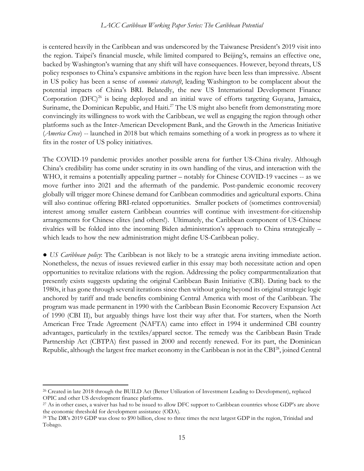is centered heavily in the Caribbean and was underscored by the Taiwanese President's 2019 visit into the region. Taipei's financial muscle, while limited compared to Beijing's, remains an effective one, backed by Washington's warning that any shift will have consequences. However, beyond threats, US policy responses to China's expansive ambitions in the region have been less than impressive. Absent in US policy has been a sense of *economic statecraft*, leading Washington to be complacent about the potential impacts of China's BRI. Belatedly, the new US International Development Finance Corporation  $(DFC)^{26}$  is being deployed and an initial wave of efforts targeting Guyana, Jamaica, Suriname, the Dominican Republic, and Haiti.<sup>27</sup> The US might also benefit from demonstrating more convincingly its willingness to work with the Caribbean, we well as engaging the region through other platforms such as the Inter-American Development Bank, and the Growth in the Americas Initiative (*America Crece*) -- launched in 2018 but which remains something of a work in progress as to where it fits in the roster of US policy initiatives.

The COVID-19 pandemic provides another possible arena for further US-China rivalry. Although China's credibility has come under scrutiny in its own handling of the virus, and interaction with the WHO, it remains a potentially appealing partner – notably for Chinese COVID-19 vaccines -- as we move further into 2021 and the aftermath of the pandemic. Post-pandemic economic recovery globally will trigger more Chinese demand for Caribbean commodities and agricultural exports. China will also continue offering BRI-related opportunities. Smaller pockets of (sometimes controversial) interest among smaller eastern Caribbean countries will continue with investment-for-citizenship arrangements for Chinese elites (and others!). Ultimately, the Caribbean component of US-Chinese rivalries will be folded into the incoming Biden administration's approach to China strategically – which leads to how the new administration might define US-Caribbean policy.

● *US Caribbean policy*: The Caribbean is not likely to be a strategic arena inviting immediate action. Nonetheless, the nexus of issues reviewed earlier in this essay may both necessitate action and open opportunities to revitalize relations with the region. Addressing the policy compartmentalization that presently exists suggests updating the original Caribbean Basin Initiative (CBI). Dating back to the 1980s, it has gone through several iterations since then without going beyond its original strategic logic anchored by tariff and trade benefits combining Central America with most of the Caribbean. The program was made permanent in 1990 with the Caribbean Basin Economic Recovery Expansion Act of 1990 (CBI II), but arguably things have lost their way after that. For starters, when the North American Free Trade Agreement (NAFTA) came into effect in 1994 it undermined CBI country advantages, particularly in the textiles/apparel sector. The remedy was the Caribbean Basin Trade Partnership Act (CBTPA) first passed in 2000 and recently renewed. For its part, the Dominican Republic, although the largest free market economy in the Caribbean is not in the CBI<sup>28</sup>, joined Central

<sup>&</sup>lt;sup>26</sup> Created in late 2018 through the BUILD Act (Better Utilization of Investment Leading to Development), replaced OPIC and other US development finance platforms.

<sup>27</sup> As in other cases, a waiver has had to be issued to allow DFC support to Caribbean countries whose GDP's are above the economic threshold for development assistance (ODA).

<sup>&</sup>lt;sup>28</sup> The DR's 2019 GDP was close to \$90 billion, close to three times the next largest GDP in the region, Trinidad and Tobago.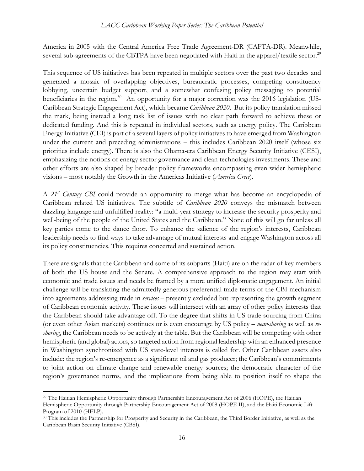America in 2005 with the Central America Free Trade Agreement-DR (CAFTA-DR). Meanwhile, several sub-agreements of the CBTPA have been negotiated with Haiti in the apparel/textile sector.<sup>29</sup>

This sequence of US initiatives has been repeated in multiple sectors over the past two decades and generated a mosaic of overlapping objectives, bureaucratic processes, competing constituency lobbying, uncertain budget support, and a somewhat confusing policy messaging to potential beneficiaries in the region.<sup>30</sup> An opportunity for a major correction was the 2016 legislation (US-Caribbean Strategic Engagement Act), which became *Caribbean 2020*. But its policy translation missed the mark, being instead a long task list of issues with no clear path forward to achieve these or dedicated funding. And this is repeated in individual sectors, such as energy policy. The Caribbean Energy Initiative (CEI) is part of a several layers of policy initiatives to have emerged from Washington under the current and preceding administrations – this includes Caribbean 2020 itself (whose six priorities include energy). There is also the Obama-era Caribbean Energy Security Initiative (CESI), emphasizing the notions of energy sector governance and clean technologies investments. These and other efforts are also shaped by broader policy frameworks encompassing even wider hemispheric visions – most notably the Growth in the Americas Initiative (*America Crece*).

A *21st Century CBI* could provide an opportunity to merge what has become an encyclopedia of Caribbean related US initiatives. The subtitle of *Caribbean 2020* conveys the mismatch between dazzling language and unfulfilled reality: "a multi-year strategy to increase the security prosperity and well-being of the people of the United States and the Caribbean." None of this will go far unless all key parties come to the dance floor. To enhance the salience of the region's interests, Caribbean leadership needs to find ways to take advantage of mutual interests and engage Washington across all its policy constituencies. This requires concerted and sustained action.

There are signals that the Caribbean and some of its subparts (Haiti) are on the radar of key members of both the US house and the Senate. A comprehensive approach to the region may start with economic and trade issues and needs be framed by a more unified diplomatic engagement. An initial challenge will be translating the admittedly generous preferential trade terms of the CBI mechanism into agreements addressing trade in *services* – presently excluded but representing the growth segment of Caribbean economic activity. These issues will intersect with an array of other policy interests that the Caribbean should take advantage off. To the degree that shifts in US trade sourcing from China (or even other Asian markets) continues or is even encourage by US policy – *near-shoring* as well as *reshoring*, the Caribbean needs to be actively at the table. But the Caribbean will be competing with other hemispheric (and global) actors, so targeted action from regional leadership with an enhanced presence in Washington synchronized with US state-level interests is called for. Other Caribbean assets also include: the region's re-emergence as a significant oil and gas producer; the Caribbean's commitments to joint action on climate change and renewable energy sources; the democratic character of the region's governance norms, and the implications from being able to position itself to shape the

<sup>29</sup> The Haitian Hemispheric Opportunity through Partnership Encouragement Act of 2006 (HOPE), the Haitian Hemispheric Opportunity through Partnership Encouragement Act of 2008 (HOPE II), and the Haiti Economic Lift Program of 2010 (HELP).

<sup>&</sup>lt;sup>30</sup> This includes the Partnership for Prosperity and Security in the Caribbean, the Third Border Initiative, as well as the Caribbean Basin Security Initiative (CBSI).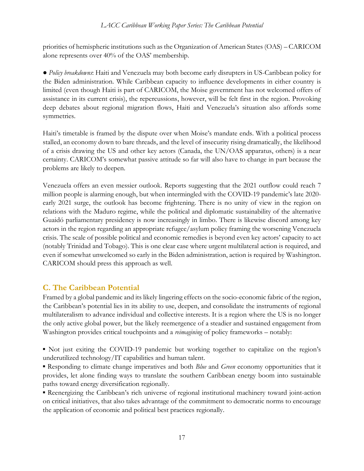priorities of hemispheric institutions such as the Organization of American States (OAS) – CARICOM alone represents over 40% of the OAS' membership.

● *Policy breakdowns*: Haiti and Venezuela may both become early disrupters in US-Caribbean policy for the Biden administration. While Caribbean capacity to influence developments in either country is limited (even though Haiti is part of CARICOM, the Moise government has not welcomed offers of assistance in its current crisis), the repercussions, however, will be felt first in the region. Provoking deep debates about regional migration flows, Haiti and Venezuela's situation also affords some symmetries.

Haiti's timetable is framed by the dispute over when Moise's mandate ends. With a political process stalled, an economy down to bare threads, and the level of insecurity rising dramatically, the likelihood of a crisis drawing the US and other key actors (Canada, the UN/OAS apparatus, others) is a near certainty. CARICOM's somewhat passive attitude so far will also have to change in part because the problems are likely to deepen.

Venezuela offers an even messier outlook. Reports suggesting that the 2021 outflow could reach 7 million people is alarming enough, but when intermingled with the COVID-19 pandemic's late 2020 early 2021 surge, the outlook has become frightening. There is no unity of view in the region on relations with the Maduro regime, while the political and diplomatic sustainability of the alternative Guaidó parliamentary presidency is now increasingly in limbo. There is likewise discord among key actors in the region regarding an appropriate refugee/asylum policy framing the worsening Venezuela crisis. The scale of possible political and economic remedies is beyond even key actors' capacity to act (notably Trinidad and Tobago). This is one clear case where urgent multilateral action is required, and even if somewhat unwelcomed so early in the Biden administration, action is required by Washington. CARICOM should press this approach as well.

#### **C. The Caribbean Potential**

Framed by a global pandemic and its likely lingering effects on the socio-economic fabric of the region, the Caribbean's potential lies in its ability to use, deepen, and consolidate the instruments of regional multilateralism to advance individual and collective interests. It is a region where the US is no longer the only active global power, but the likely reemergence of a steadier and sustained engagement from Washington provides critical touchpoints and a *reimagining* of policy frameworks – notably:

▪ Not just exiting the COVID-19 pandemic but working together to capitalize on the region's underutilized technology/IT capabilities and human talent.

▪ Responding to climate change imperatives and both *Blue* and *Green* economy opportunities that it provides, let alone finding ways to translate the southern Caribbean energy boom into sustainable paths toward energy diversification regionally.

▪ Reenergizing the Caribbean's rich universe of regional institutional machinery toward joint-action on critical initiatives, that also takes advantage of the commitment to democratic norms to encourage the application of economic and political best practices regionally.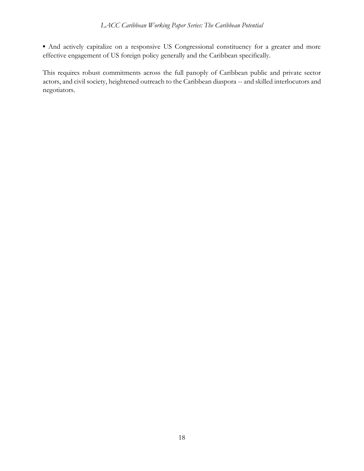▪ And actively capitalize on a responsive US Congressional constituency for a greater and more effective engagement of US foreign policy generally and the Caribbean specifically.

This requires robust commitments across the full panoply of Caribbean public and private sector actors, and civil society, heightened outreach to the Caribbean diaspora -- and skilled interlocutors and negotiators.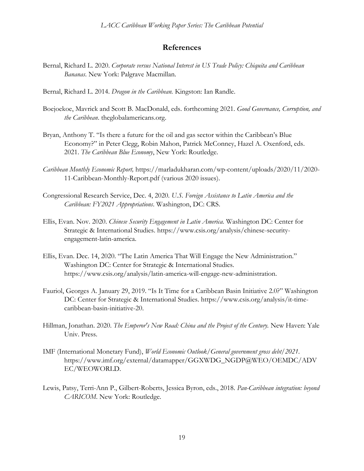#### **References**

- Bernal, Richard L. 2020. *Corporate versus National Interest in US Trade Policy: Chiquita and Caribbean Bananas*. New York: Palgrave Macmillan.
- Bernal, Richard L. 2014. *Dragon in the Caribbean.* Kingston: Ian Randle.
- Boejoekoe, Mavrick and Scott B. MacDonald, eds. forthcoming 2021. *Good Governance, Corruption, and the Caribbean*. theglobalamericans.org.
- Bryan, Anthony T. "Is there a future for the oil and gas sector within the Caribbean's Blue Economy?" in Peter Clegg, Robin Mahon, Patrick McConney, Hazel A. Oxenford, eds. 2021. *The Caribbean Blue Economy*, New York: Routledge.
- *Caribbean Monthly Economic Report,* https://marladukharan.com/wp-content/uploads/2020/11/2020- 11-Caribbean-Monthly-Report.pdf (various 2020 issues).
- Congressional Research Service, Dec. 4, 2020. *U.S. Foreign Assistance to Latin America and the Caribbean: FY2021 Appropriations*. Washington, DC: CRS.
- Ellis, Evan. Nov. 2020. *Chinese Security Engagement in Latin America.* Washington DC: Center for Strategic & International Studies. https://www.csis.org/analysis/chinese-securityengagement-latin-america.
- Ellis, Evan. Dec. 14, 2020. "The Latin America That Will Engage the New Administration." Washington DC: Center for Strategic & International Studies. https://www.csis.org/analysis/latin-america-will-engage-new-administration.
- Fauriol, Georges A. January 29, 2019. "Is It Time for a Caribbean Basin Initiative 2.0?" Washington DC: Center for Strategic & International Studies. https://www.csis.org/analysis/it-timecaribbean-basin-initiative-20.
- Hillman, Jonathan. 2020. *The Emperor's New Road: China and the Project of the Century*. New Haven: Yale Univ. Press.
- IMF (International Monetary Fund), *World Economic Outlook/General government gross debt/2021.* https://www.imf.org/external/datamapper/GGXWDG\_NGDP@WEO/OEMDC/ADV EC/WEOWORLD.
- Lewis, Patsy, Terri-Ann P., Gilbert-Roberts, Jessica Byron, eds., 2018. *Pan-Caribbean integration: beyond CARICOM*. New York: Routledge.